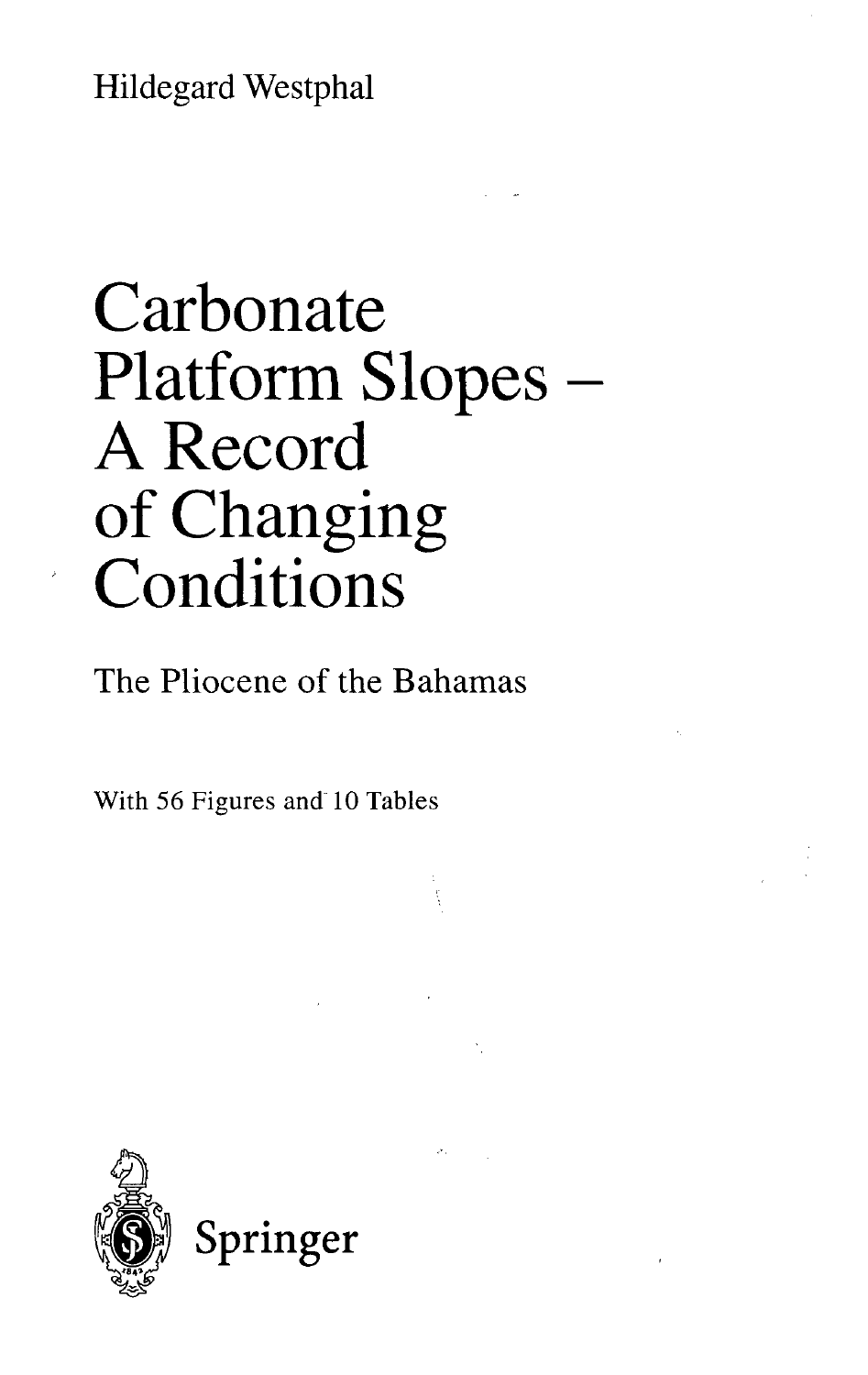Hildegard Westphal

## Carbonate Platform Slopes A Record of Changing **Conditions**

The Pliocene of the Bahamas

With 56 Figures and 10 Tables



 $\sigma_{\rm{sc}}$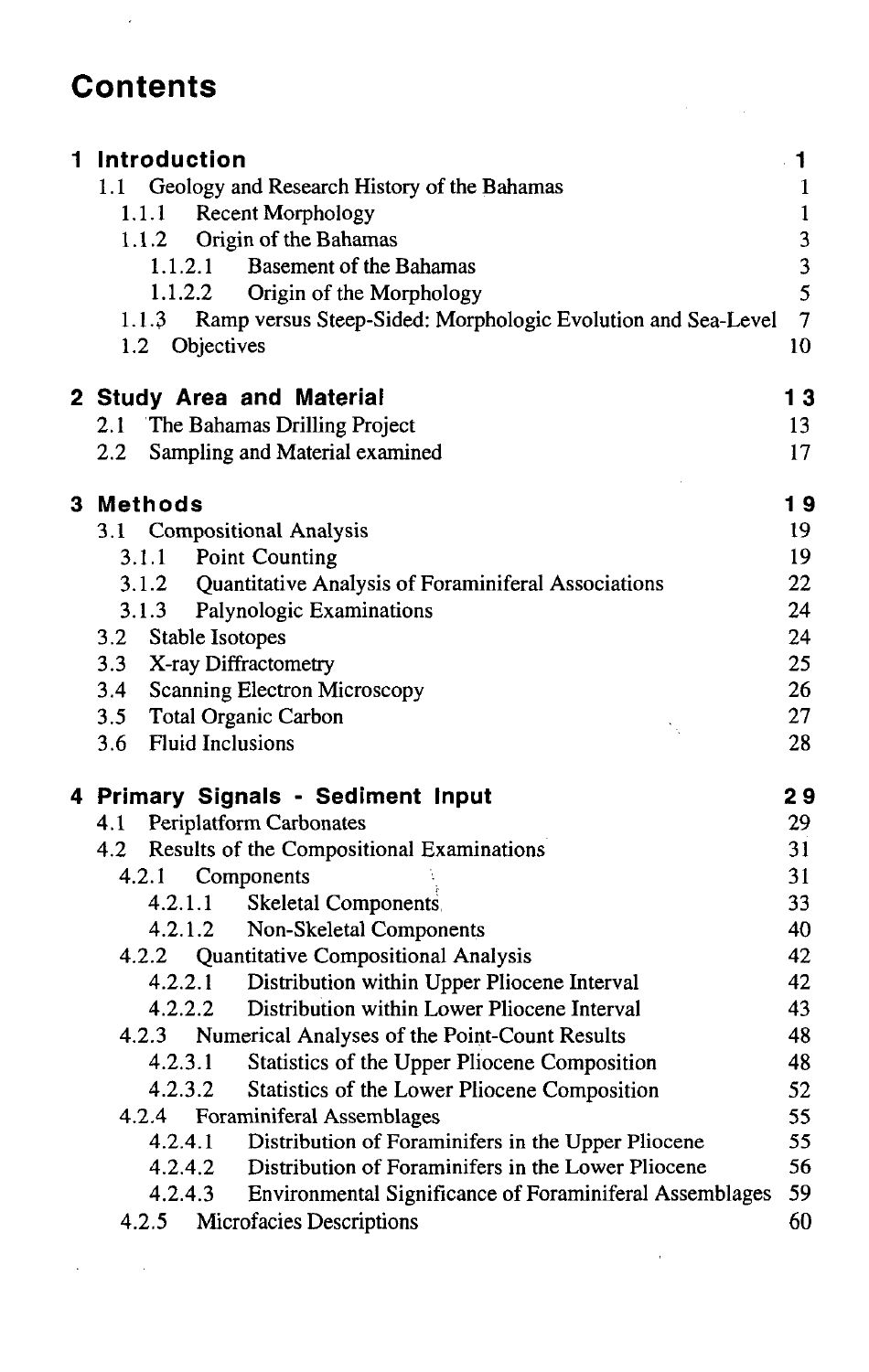## **Contents**

 $\overline{a}$ 

| 1 Introduction                                                                          | $\cdot$ 1      |
|-----------------------------------------------------------------------------------------|----------------|
| 1.1 Geology and Research History of the Bahamas                                         | 1              |
| <b>Recent Morphology</b><br>1.1.1                                                       | $\mathbf{1}$   |
| Origin of the Bahamas<br>1.1.2                                                          | 3              |
| 1.1.2.1 Basement of the Bahamas<br>1.1.2.2                                              | 3<br>5         |
| Origin of the Morphology                                                                | $\overline{7}$ |
| Ramp versus Steep-Sided: Morphologic Evolution and Sea-Level<br>1.1.3<br>1.2 Objectives | 10             |
|                                                                                         |                |
| 2 Study Area and Material                                                               | 13             |
| 2.1 The Bahamas Drilling Project                                                        | 13             |
| Sampling and Material examined<br>2.2                                                   | 17             |
|                                                                                         |                |
| 3 Methods                                                                               | 19             |
| 3.1 Compositional Analysis                                                              | 19             |
| 3.1.1 Point Counting                                                                    | 19             |
| 3.1.2 Quantitative Analysis of Foraminiferal Associations                               | 22             |
| 3.1.3 Palynologic Examinations                                                          | 24             |
| Stable Isotopes<br>3.2                                                                  | 24             |
| 3.3 X-ray Diffractometry                                                                | 25             |
| 3.4 Scanning Electron Microscopy                                                        | 26             |
| 3.5 Total Organic Carbon                                                                | 27             |
| 3.6 Fluid Inclusions                                                                    | 28             |
| 4 Primary Signals - Sediment Input                                                      | 29             |
| 4.1 Periplatform Carbonates                                                             | 29             |
| Results of the Compositional Examinations<br>4.2                                        | 31             |
| 4.2.1<br>Components                                                                     | 31             |
| 4.2.1.1<br>Skeletal Components.                                                         | 33             |
| 4.2.1.2 Non-Skeletal Components                                                         | 40             |
| 4.2.2 Quantitative Compositional Analysis                                               | 42             |
| 4.2.2.1 Distribution within Upper Pliocene Interval                                     | 42             |
| 4.2.2.2<br>Distribution within Lower Pliocene Interval                                  | 43             |
| 4.2.3 Numerical Analyses of the Point-Count Results                                     | 48             |
| 4.2.3.1<br>Statistics of the Upper Pliocene Composition                                 | 48             |
| 4.2.3.2<br>Statistics of the Lower Pliocene Composition                                 | 52             |
| 4.2.4 Foraminiferal Assemblages                                                         | 55             |
| 4.2.4.1 Distribution of Foraminifers in the Upper Pliocene                              | 55<br>56       |
| 4.2.4.2 Distribution of Foraminifers in the Lower Pliocene                              | 59             |
| 4.2.4.3 Environmental Significance of Foraminiferal Assemblages                         | 60             |
| Microfacies Descriptions<br>4.2.5                                                       |                |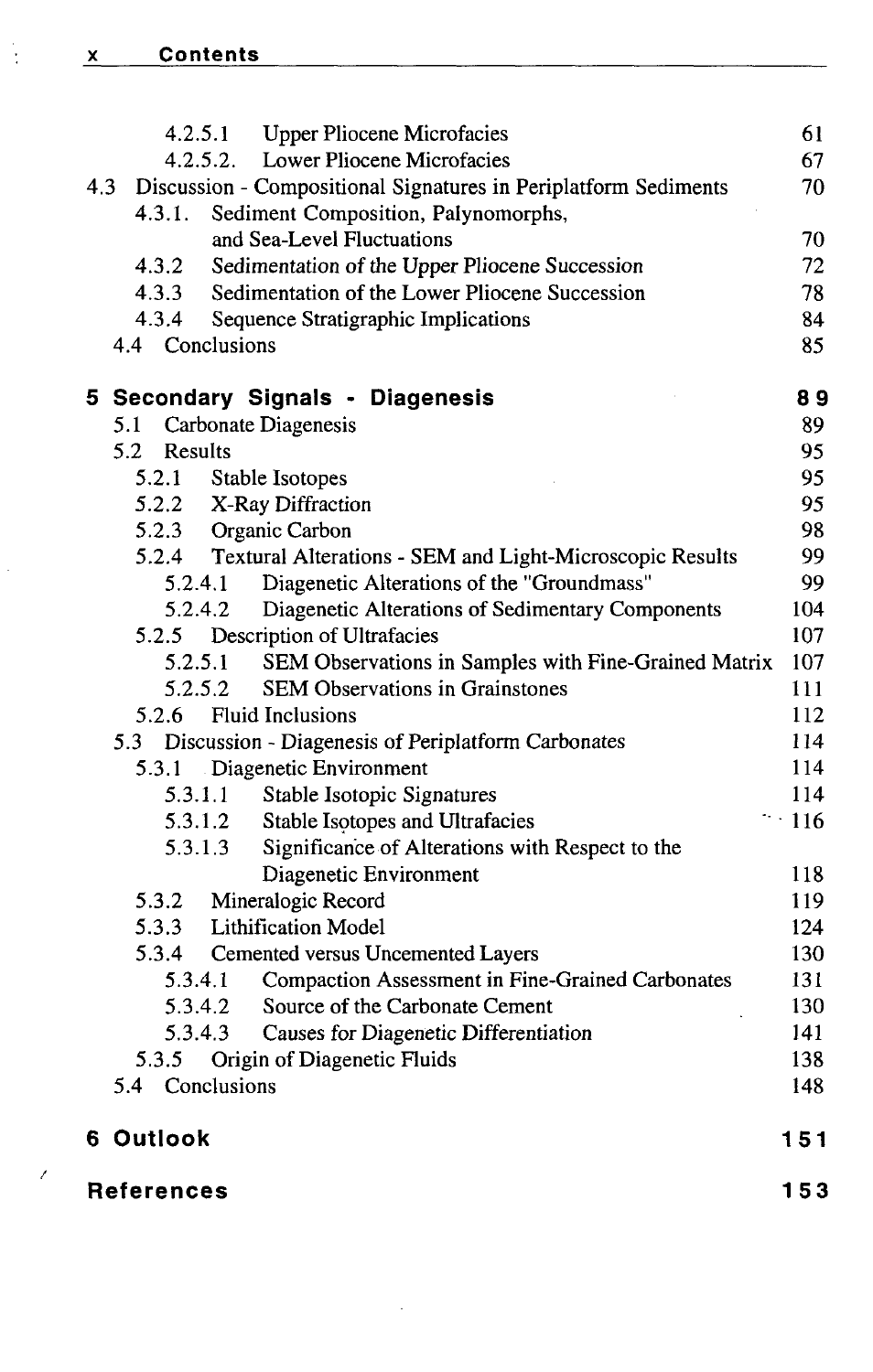|     | <b>Upper Pliocene Microfacies</b><br>4.2.5.1                    | 61         |
|-----|-----------------------------------------------------------------|------------|
|     | 4.2.5.2.<br>Lower Pliocene Microfacies                          | 67         |
| 4.3 | Discussion - Compositional Signatures in Periplatform Sediments | 70         |
|     | Sediment Composition, Palynomorphs,<br>4.3.1.                   |            |
|     | and Sea-Level Fluctuations                                      | 70         |
|     | Sedimentation of the Upper Pliocene Succession<br>4.3.2         | 72         |
|     | Sedimentation of the Lower Pliocene Succession<br>4.3.3         | 78         |
|     | 4.3.4<br>Sequence Stratigraphic Implications                    | 84         |
|     | 4.4 Conclusions                                                 | 85         |
|     | 5 Secondary Signals - Diagenesis                                | 89         |
|     | 5.1 Carbonate Diagenesis                                        | 89         |
|     | 5.2<br>Results                                                  | 95         |
|     | 5.2.1<br>Stable Isotopes                                        | 95         |
|     | 5.2.2 X-Ray Diffraction                                         | 95         |
|     | 5.2.3 Organic Carbon                                            | 98         |
|     | 5.2.4 Textural Alterations - SEM and Light-Microscopic Results  | 99         |
|     | 5.2.4.1<br>Diagenetic Alterations of the "Groundmass"           | 99         |
|     | 5.2.4.2<br>Diagenetic Alterations of Sedimentary Components     | 104        |
|     | 5.2.5<br>Description of Ultrafacies                             | 107        |
|     | SEM Observations in Samples with Fine-Grained Matrix<br>5.2.5.1 | 107        |
|     | <b>SEM Observations in Grainstones</b><br>5.2.5.2               | 111        |
|     | 5.2.6 Fluid Inclusions                                          | 112        |
|     | 5.3 Discussion - Diagenesis of Periplatform Carbonates          | 114        |
|     | 5.3.1 Diagenetic Environment                                    | 114        |
|     | Stable Isotopic Signatures<br>5.3.1.1                           | 114        |
|     | Stable Isotopes and Ultrafacies<br>5.3.1.2                      | $\sim$ 116 |
|     | 5.3.1.3<br>Significance of Alterations with Respect to the      |            |
|     | Diagenetic Environment                                          | 118        |
|     | Mineralogic Record<br>5.3.2                                     | 119        |
|     | 5.3.3 Lithification Model                                       | 124        |
|     | 5.3.4<br>Cemented versus Uncemented Layers                      | 130        |
|     | Compaction Assessment in Fine-Grained Carbonates<br>5.3.4.1     | 131        |
|     | Source of the Carbonate Cement<br>5.3.4.2                       | 130        |
|     | 5.3.4.3 Causes for Diagenetic Differentiation                   | 141        |
|     | 5.3.5 Origin of Diagenetic Fluids                               | 138        |
|     | 5.4 Conclusions                                                 | 148        |
|     | 6 Outlook                                                       | 151        |
|     | 153<br>References                                               |            |

 $\ddot{\phantom{0}}$ 

<u> 1960 - John Stone, mars and de la provincia de la provincia de la provincia de la provincia de la provincia d</u>

 $\bar{\bar{z}}$ 

 $\bar{\epsilon}$